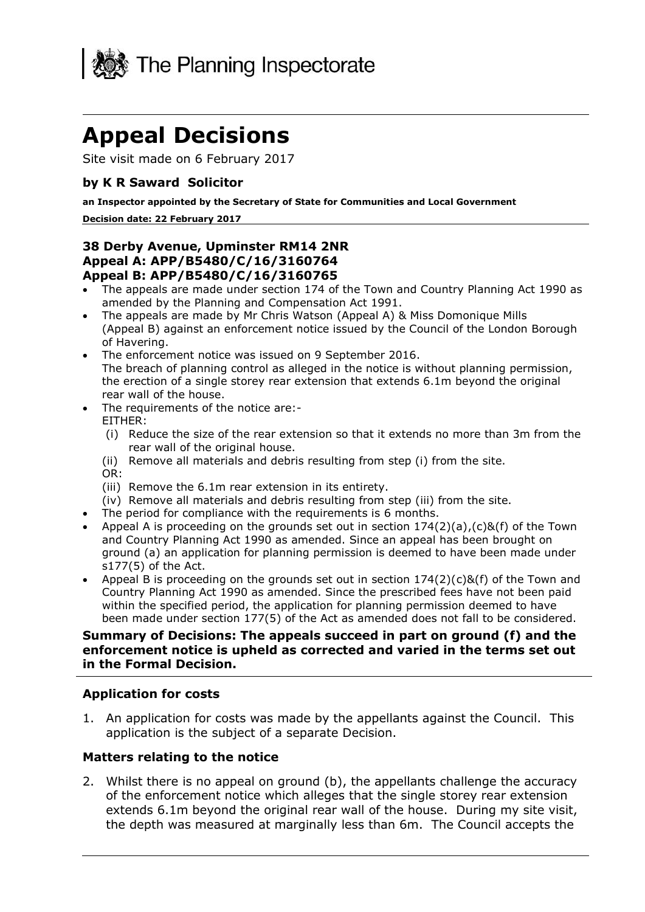

# **Appeal Decisions**

Site visit made on 6 February 2017

#### **by K R Saward Solicitor**

 **an Inspector appointed by the Secretary of State for Communities and Local Government** 

#### **Decision date: 22 February 2017**

#### **Appeal A: APP/B5480/C/16/3160764 38 Derby Avenue, Upminster RM14 2NR Appeal B: APP/B5480/C/16/3160765**

- The appeals are made under section 174 of the Town and Country Planning Act 1990 as amended by the Planning and Compensation Act 1991.
- The appeals are made by Mr Chris Watson (Appeal A) & Miss Domonique Mills (Appeal B) against an enforcement notice issued by the Council of the London Borough of Havering.
- The enforcement notice was issued on 9 September 2016. The breach of planning control as alleged in the notice is without planning permission, the erection of a single storey rear extension that extends 6.1m beyond the original rear wall of the house.
- The requirements of the notice are:-
	- EITHER:
	- rear wall of the original house. (i) Reduce the size of the rear extension so that it extends no more than 3m from the
	- (ii) Remove all materials and debris resulting from step (i) from the site.
	- OR:
	- (iii) Remove the 6.1m rear extension in its entirety.
	- (iv) Remove all materials and debris resulting from step (iii) from the site.
- The period for compliance with the requirements is 6 months.
- Appeal A is proceeding on the grounds set out in section  $174(2)(a)$ ,  $(c)$ &(f) of the Town and Country Planning Act 1990 as amended. Since an appeal has been brought on ground (a) an application for planning permission is deemed to have been made under s177(5) of the Act.
- Appeal B is proceeding on the grounds set out in section  $174(2)(c)$ &(f) of the Town and Country Planning Act 1990 as amended. Since the prescribed fees have not been paid within the specified period, the application for planning permission deemed to have been made under section 177(5) of the Act as amended does not fall to be considered.

#### **Summary of Decisions: The appeals succeed in part on ground (f) and the enforcement notice is upheld as corrected and varied in the terms set out in the Formal Decision.**

#### **Application for costs**

1. An application for costs was made by the appellants against the Council. This application is the subject of a separate Decision.

## **Matters relating to the notice**

 2. Whilst there is no appeal on ground (b), the appellants challenge the accuracy of the enforcement notice which alleges that the single storey rear extension extends 6.1m beyond the original rear wall of the house. During my site visit, the depth was measured at marginally less than 6m. The Council accepts the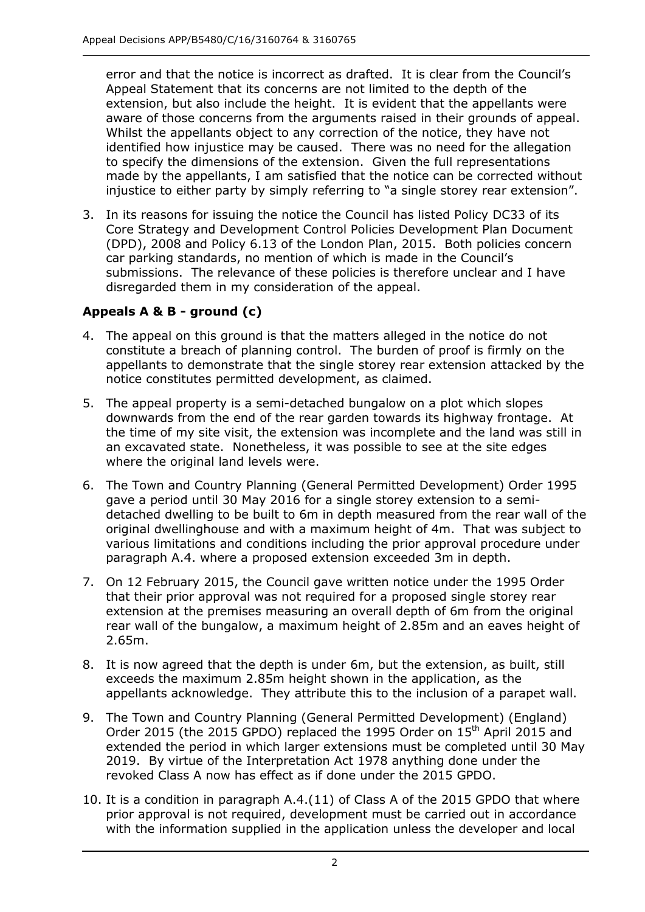error and that the notice is incorrect as drafted. It is clear from the Council's Appeal Statement that its concerns are not limited to the depth of the extension, but also include the height. It is evident that the appellants were aware of those concerns from the arguments raised in their grounds of appeal. identified how injustice may be caused. There was no need for the allegation to specify the dimensions of the extension. Given the full representations made by the appellants, I am satisfied that the notice can be corrected without injustice to either party by simply referring to "a single storey rear extension". Whilst the appellants object to any correction of the notice, they have not

 3. In its reasons for issuing the notice the Council has listed Policy DC33 of its Core Strategy and Development Control Policies Development Plan Document (DPD), 2008 and Policy 6.13 of the London Plan, 2015. Both policies concern submissions. The relevance of these policies is therefore unclear and I have disregarded them in my consideration of the appeal. car parking standards, no mention of which is made in the Council's

# **Appeals A & B - ground (c)**

- 4. The appeal on this ground is that the matters alleged in the notice do not constitute a breach of planning control. The burden of proof is firmly on the appellants to demonstrate that the single storey rear extension attacked by the notice constitutes permitted development, as claimed.
- 5. The appeal property is a semi-detached bungalow on a plot which slopes downwards from the end of the rear garden towards its highway frontage. At the time of my site visit, the extension was incomplete and the land was still in an excavated state. Nonetheless, it was possible to see at the site edges where the original land levels were.
- 6. The Town and Country Planning (General Permitted Development) Order 1995 gave a period until 30 May 2016 for a single storey extension to a semi- detached dwelling to be built to 6m in depth measured from the rear wall of the original dwellinghouse and with a maximum height of 4m. That was subject to paragraph A.4. where a proposed extension exceeded 3m in depth. various limitations and conditions including the prior approval procedure under
- 7. On 12 February 2015, the Council gave written notice under the 1995 Order that their prior approval was not required for a proposed single storey rear extension at the premises measuring an overall depth of 6m from the original rear wall of the bungalow, a maximum height of 2.85m and an eaves height of  $2.65m.$
- 2.65m. 8. It is now agreed that the depth is under 6m, but the extension, as built, still exceeds the maximum 2.85m height shown in the application, as the appellants acknowledge. They attribute this to the inclusion of a parapet wall.
- 9. The Town and Country Planning (General Permitted Development) (England) Order 2015 (the 2015 GPDO) replaced the 1995 Order on  $15<sup>th</sup>$  April 2015 and extended the period in which larger extensions must be completed until 30 May 2019. By virtue of the Interpretation Act 1978 anything done under the revoked Class A now has effect as if done under the 2015 GPDO.
- 10. It is a condition in paragraph A.4.(11) of Class A of the 2015 GPDO that where prior approval is not required, development must be carried out in accordance with the information supplied in the application unless the developer and local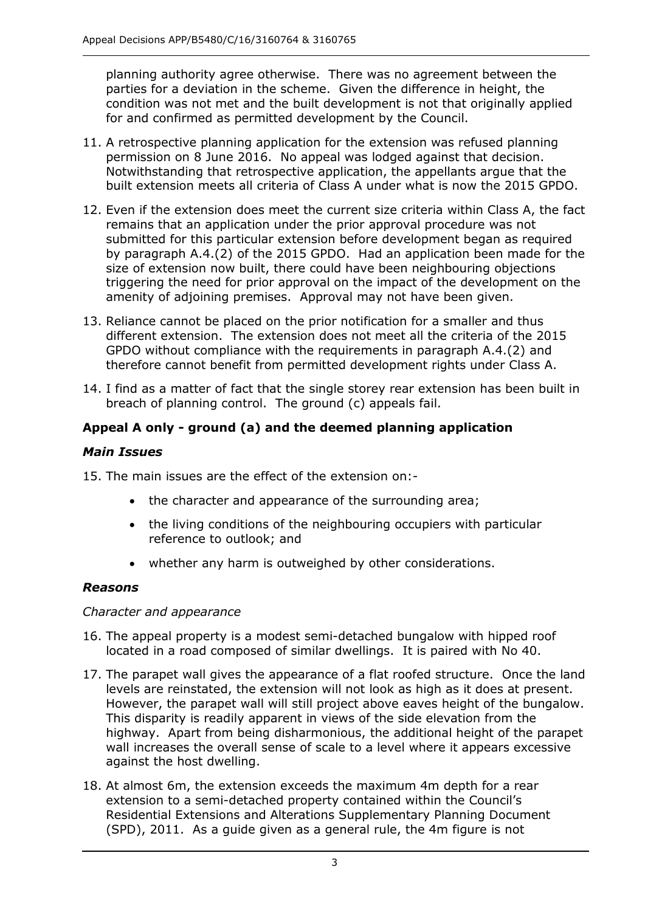planning authority agree otherwise. There was no agreement between the parties for a deviation in the scheme. Given the difference in height, the condition was not met and the built development is not that originally applied for and confirmed as permitted development by the Council.

- permission on 8 June 2016. No appeal was lodged against that decision. built extension meets all criteria of Class A under what is now the 2015 GPDO. 11. A retrospective planning application for the extension was refused planning Notwithstanding that retrospective application, the appellants argue that the
- 12. Even if the extension does meet the current size criteria within Class A, the fact remains that an application under the prior approval procedure was not submitted for this particular extension before development began as required by paragraph A.4.(2) of the 2015 GPDO. Had an application been made for the size of extension now built, there could have been neighbouring objections triggering the need for prior approval on the impact of the development on the amenity of adjoining premises. Approval may not have been given.
- 13. Reliance cannot be placed on the prior notification for a smaller and thus different extension. The extension does not meet all the criteria of the 2015 GPDO without compliance with the requirements in paragraph A.4.(2) and therefore cannot benefit from permitted development rights under Class A.
- 14. I find as a matter of fact that the single storey rear extension has been built in breach of planning control. The ground (c) appeals fail.

# **Appeal A only - ground (a) and the deemed planning application**

## *Main Issues*

15. The main issues are the effect of the extension on:-

- the character and appearance of the surrounding area;
- the living conditions of the neighbouring occupiers with particular reference to outlook; and
- whether any harm is outweighed by other considerations.

## *Reasons*

## *Character and appearance*

- 16. The appeal property is a modest semi-detached bungalow with hipped roof located in a road composed of similar dwellings. It is paired with No 40.
- 17. The parapet wall gives the appearance of a flat roofed structure. Once the land levels are reinstated, the extension will not look as high as it does at present. However, the parapet wall will still project above eaves height of the bungalow. This disparity is readily apparent in views of the side elevation from the highway. Apart from being disharmonious, the additional height of the parapet wall increases the overall sense of scale to a level where it appears excessive against the host dwelling.
- against the host dwelling.<br>18. At almost 6m, the extension exceeds the maximum 4m depth for a rear extension to a semi-detached property contained within the Council's Residential Extensions and Alterations Supplementary Planning Document (SPD), 2011. As a guide given as a general rule, the 4m figure is not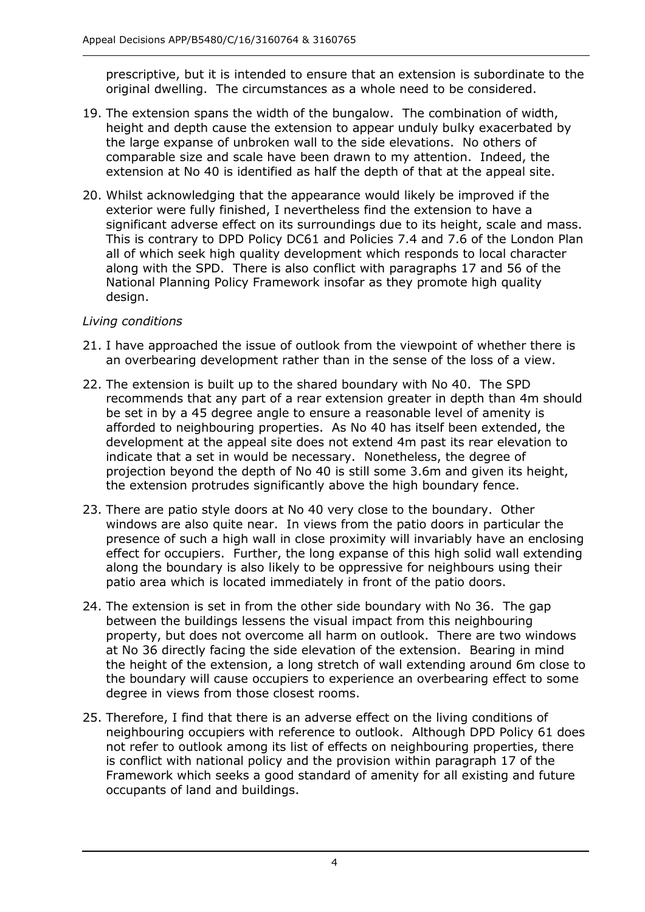prescriptive, but it is intended to ensure that an extension is subordinate to the original dwelling. The circumstances as a whole need to be considered.

- 19. The extension spans the width of the bungalow. The combination of width, height and depth cause the extension to appear unduly bulky exacerbated by the large expanse of unbroken wall to the side elevations. No others of comparable size and scale have been drawn to my attention. Indeed, the extension at No 40 is identified as half the depth of that at the appeal site.
- 20. Whilst acknowledging that the appearance would likely be improved if the exterior were fully finished, I nevertheless find the extension to have a significant adverse effect on its surroundings due to its height, scale and mass. This is contrary to DPD Policy DC61 and Policies 7.4 and 7.6 of the London Plan all of which seek high quality development which responds to local character along with the SPD. There is also conflict with paragraphs 17 and 56 of the National Planning Policy Framework insofar as they promote high quality design.

## *Living conditions*

- 21. I have approached the issue of outlook from the viewpoint of whether there is an overbearing development rather than in the sense of the loss of a view.
- 22. The extension is built up to the shared boundary with No 40. The SPD recommends that any part of a rear extension greater in depth than 4m should be set in by a 45 degree angle to ensure a reasonable level of amenity is afforded to neighbouring properties. As No 40 has itself been extended, the development at the appeal site does not extend 4m past its rear elevation to indicate that a set in would be necessary. Nonetheless, the degree of projection beyond the depth of No 40 is still some 3.6m and given its height, the extension protrudes significantly above the high boundary fence.
- 23. There are patio style doors at No 40 very close to the boundary. Other windows are also quite near. In views from the patio doors in particular the presence of such a high wall in close proximity will invariably have an enclosing effect for occupiers. Further, the long expanse of this high solid wall extending along the boundary is also likely to be oppressive for neighbours using their patio area which is located immediately in front of the patio doors.
- 24. The extension is set in from the other side boundary with No 36. The gap property, but does not overcome all harm on outlook. There are two windows at No 36 directly facing the side elevation of the extension. Bearing in mind the height of the extension, a long stretch of wall extending around 6m close to the boundary will cause occupiers to experience an overbearing effect to some degree in views from those closest rooms. between the buildings lessens the visual impact from this neighbouring
- 25. Therefore, I find that there is an adverse effect on the living conditions of neighbouring occupiers with reference to outlook. Although DPD Policy 61 does not refer to outlook among its list of effects on neighbouring properties, there is conflict with national policy and the provision within paragraph 17 of the Framework which seeks a good standard of amenity for all existing and future occupants of land and buildings.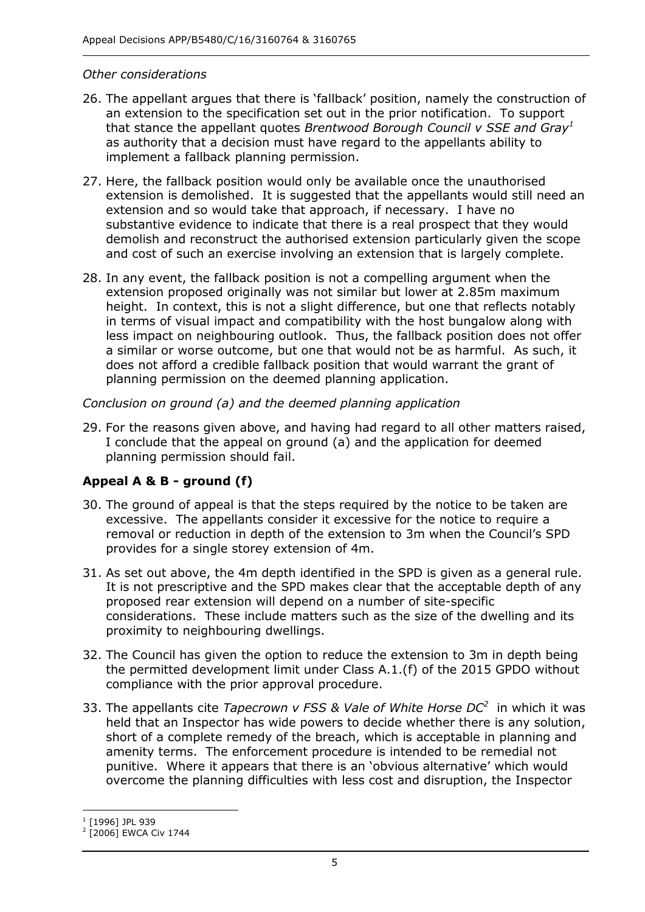#### *Other considerations*

- 26. The appellant argues that there is 'fallback' position, namely the construction of an extension to the specification set out in the prior notification. To support that stance the appellant quotes *Brentwood Borough Council v SSE and Gray<sup>1</sup>* as authority that a decision must have regard to the appellants ability to implement a fallback planning permission.
- 27. Here, the fallback position would only be available once the unauthorised extension is demolished. It is suggested that the appellants would still need an extension and so would take that approach, if necessary. I have no substantive evidence to indicate that there is a real prospect that they would and cost of such an exercise involving an extension that is largely complete. demolish and reconstruct the authorised extension particularly given the scope
- 28. In any event, the fallback position is not a compelling argument when the extension proposed originally was not similar but lower at 2.85m maximum height. In context, this is not a slight difference, but one that reflects notably in terms of visual impact and compatibility with the host bungalow along with less impact on neighbouring outlook. Thus, the fallback position does not offer a similar or worse outcome, but one that would not be as harmful. As such, it does not afford a credible fallback position that would warrant the grant of planning permission on the deemed planning application.

 *Conclusion on ground (a) and the deemed planning application* 

 29. For the reasons given above, and having had regard to all other matters raised, I conclude that the appeal on ground (a) and the application for deemed planning permission should fail.

## **Appeal A & B - ground (f)**

- 30. The ground of appeal is that the steps required by the notice to be taken are excessive. The appellants consider it excessive for the notice to require a provides for a single storey extension of 4m. removal or reduction in depth of the extension to 3m when the Council's SPD
- 31. As set out above, the 4m depth identified in the SPD is given as a general rule. proposed rear extension will depend on a number of site-specific considerations. These include matters such as the size of the dwelling and its proximity to neighbouring dwellings. It is not prescriptive and the SPD makes clear that the acceptable depth of any
- 32. The Council has given the option to reduce the extension to 3m in depth being the permitted development limit under Class A.1.(f) of the 2015 GPDO without compliance with the prior approval procedure.
- compliance with the prior approval procedure. 33. The appellants cite *Tapecrown v FSS & Vale of White Horse DC<sup>2</sup>*in which it was held that an Inspector has wide powers to decide whether there is any solution, short of a complete remedy of the breach, which is acceptable in planning and amenity terms. The enforcement procedure is intended to be remedial not overcome the planning difficulties with less cost and disruption, the Inspector punitive. Where it appears that there is an 'obvious alternative' which would

j

 $^{1}$  [1996] JPL 939

<sup>[2006]</sup> EWCA Civ 1744